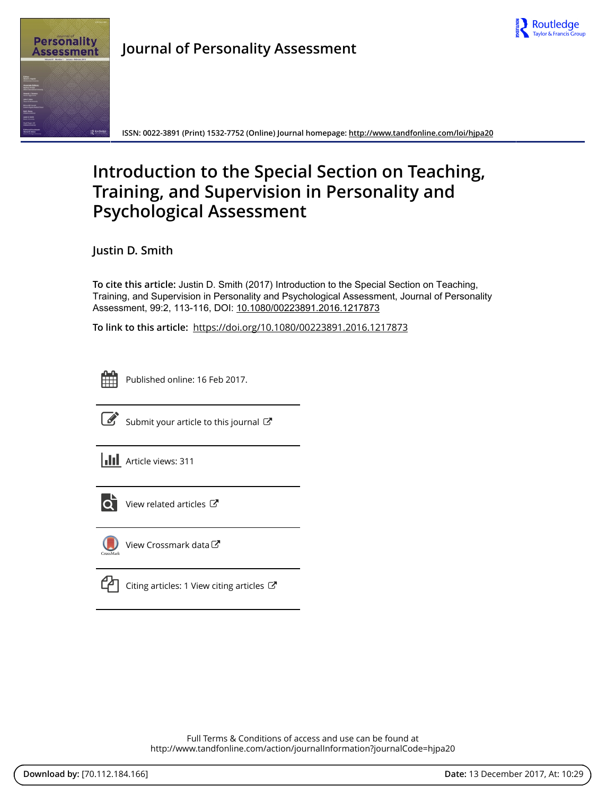

**Journal of Personality Assessment**

**ISSN: 0022-3891 (Print) 1532-7752 (Online) Journal homepage:<http://www.tandfonline.com/loi/hjpa20>**

# **Introduction to the Special Section on Teaching, Training, and Supervision in Personality and Psychological Assessment**

**Justin D. Smith**

**To cite this article:** Justin D. Smith (2017) Introduction to the Special Section on Teaching, Training, and Supervision in Personality and Psychological Assessment, Journal of Personality Assessment, 99:2, 113-116, DOI: [10.1080/00223891.2016.1217873](http://www.tandfonline.com/action/showCitFormats?doi=10.1080/00223891.2016.1217873)

**To link to this article:** <https://doi.org/10.1080/00223891.2016.1217873>



Published online: 16 Feb 2017.



 $\overline{\mathscr{L}}$  [Submit your article to this journal](http://www.tandfonline.com/action/authorSubmission?journalCode=hjpa20&show=instructions)  $\mathbb{F}$ 





 $\overline{\mathbf{C}}$  [View related articles](http://www.tandfonline.com/doi/mlt/10.1080/00223891.2016.1217873)  $\mathbf{C}$ 



[View Crossmark data](http://crossmark.crossref.org/dialog/?doi=10.1080/00223891.2016.1217873&domain=pdf&date_stamp=2017-02-16) C

 $\Box$  [Citing articles: 1 View citing articles](http://www.tandfonline.com/doi/citedby/10.1080/00223891.2016.1217873#tabModule)  $\Box$ 

Full Terms & Conditions of access and use can be found at <http://www.tandfonline.com/action/journalInformation?journalCode=hjpa20>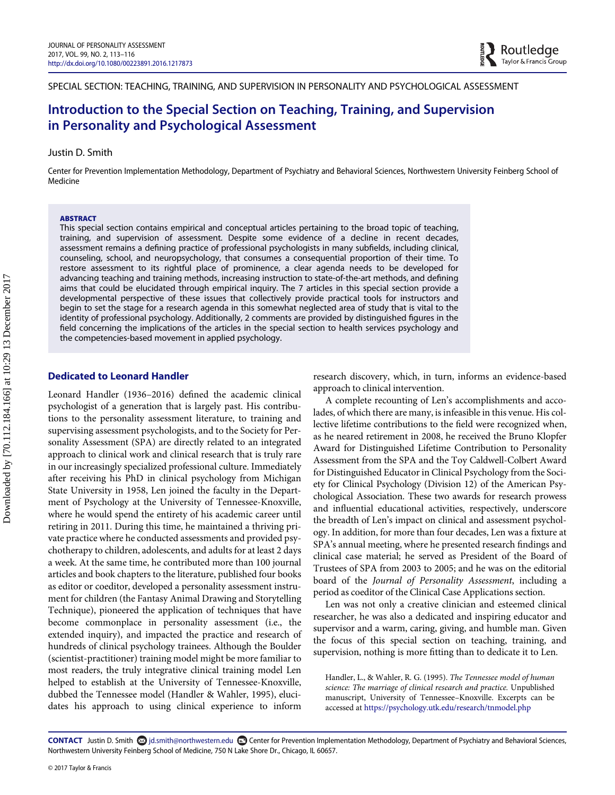SPECIAL SECTION: TEACHING, TRAINING, AND SUPERVISION IN PERSONALITY AND PSYCHOLOGICAL ASSESSMENT

# Introduction to the Special Section on Teaching, Training, and Supervision in Personality and Psychological Assessment

### Justin D. Smith

Center for Prevention Implementation Methodology, Department of Psychiatry and Behavioral Sciences, Northwestern University Feinberg School of Medicine

#### ABSTRACT

This special section contains empirical and conceptual articles pertaining to the broad topic of teaching, training, and supervision of assessment. Despite some evidence of a decline in recent decades, assessment remains a defining practice of professional psychologists in many subfields, including clinical, counseling, school, and neuropsychology, that consumes a consequential proportion of their time. To restore assessment to its rightful place of prominence, a clear agenda needs to be developed for advancing teaching and training methods, increasing instruction to state-of-the-art methods, and defining aims that could be elucidated through empirical inquiry. The 7 articles in this special section provide a developmental perspective of these issues that collectively provide practical tools for instructors and begin to set the stage for a research agenda in this somewhat neglected area of study that is vital to the identity of professional psychology. Additionally, 2 comments are provided by distinguished figures in the field concerning the implications of the articles in the special section to health services psychology and the competencies-based movement in applied psychology.

### Dedicated to Leonard Handler

Leonard Handler (1936–2016) defined the academic clinical psychologist of a generation that is largely past. His contributions to the personality assessment literature, to training and supervising assessment psychologists, and to the Society for Personality Assessment (SPA) are directly related to an integrated approach to clinical work and clinical research that is truly rare in our increasingly specialized professional culture. Immediately after receiving his PhD in clinical psychology from Michigan State University in 1958, Len joined the faculty in the Department of Psychology at the University of Tennessee-Knoxville, where he would spend the entirety of his academic career until retiring in 2011. During this time, he maintained a thriving private practice where he conducted assessments and provided psychotherapy to children, adolescents, and adults for at least 2 days a week. At the same time, he contributed more than 100 journal articles and book chapters to the literature, published four books as editor or coeditor, developed a personality assessment instrument for children (the Fantasy Animal Drawing and Storytelling Technique), pioneered the application of techniques that have become commonplace in personality assessment (i.e., the extended inquiry), and impacted the practice and research of hundreds of clinical psychology trainees. Although the Boulder (scientist-practitioner) training model might be more familiar to most readers, the truly integrative clinical training model Len helped to establish at the University of Tennessee-Knoxville, dubbed the Tennessee model (Handler & Wahler, 1995), elucidates his approach to using clinical experience to inform

research discovery, which, in turn, informs an evidence-based approach to clinical intervention.

A complete recounting of Len's accomplishments and accolades, of which there are many, is infeasible in this venue. His collective lifetime contributions to the field were recognized when, as he neared retirement in 2008, he received the Bruno Klopfer Award for Distinguished Lifetime Contribution to Personality Assessment from the SPA and the Toy Caldwell-Colbert Award for Distinguished Educator in Clinical Psychology from the Society for Clinical Psychology (Division 12) of the American Psychological Association. These two awards for research prowess and influential educational activities, respectively, underscore the breadth of Len's impact on clinical and assessment psychology. In addition, for more than four decades, Len was a fixture at SPA's annual meeting, where he presented research findings and clinical case material; he served as President of the Board of Trustees of SPA from 2003 to 2005; and he was on the editorial board of the Journal of Personality Assessment, including a period as coeditor of the Clinical Case Applications section.

Len was not only a creative clinician and esteemed clinical researcher, he was also a dedicated and inspiring educator and supervisor and a warm, caring, giving, and humble man. Given the focus of this special section on teaching, training, and supervision, nothing is more fitting than to dedicate it to Len.

Handler, L., & Wahler, R. G. (1995). The Tennessee model of human science: The marriage of clinical research and practice. Unpublished manuscript, University of Tennessee–Knoxville. Excerpts can be accessed at <https://psychology.utk.edu/research/tnmodel.php>

CONTACT Justin D. Smith  $\otimes$  jd.smith@northwestern.edu concerter for Prevention Implementation Methodology, Department of Psychiatry and Behavioral Sciences, Northwestern University Feinberg School of Medicine, 750 N Lake Shore Dr., Chicago, IL 60657.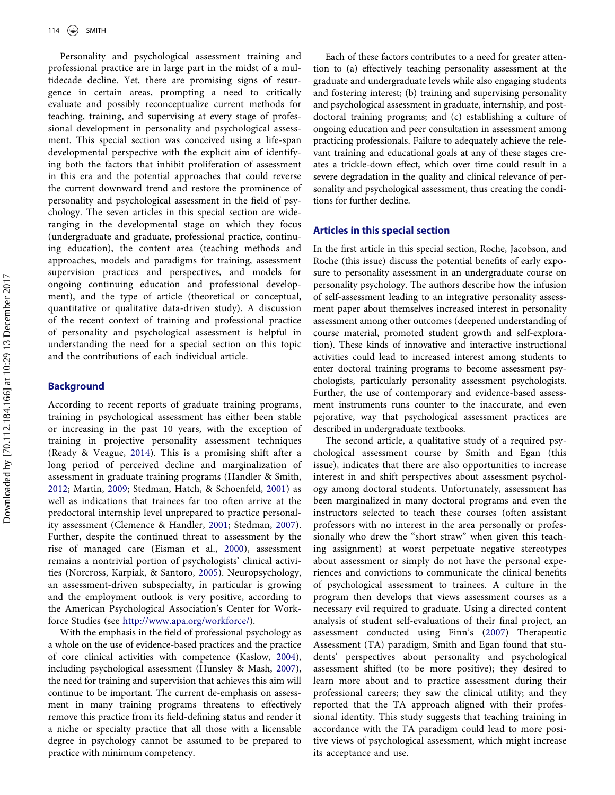Personality and psychological assessment training and professional practice are in large part in the midst of a multidecade decline. Yet, there are promising signs of resurgence in certain areas, prompting a need to critically evaluate and possibly reconceptualize current methods for teaching, training, and supervising at every stage of professional development in personality and psychological assessment. This special section was conceived using a life-span developmental perspective with the explicit aim of identifying both the factors that inhibit proliferation of assessment in this era and the potential approaches that could reverse the current downward trend and restore the prominence of personality and psychological assessment in the field of psychology. The seven articles in this special section are wideranging in the developmental stage on which they focus (undergraduate and graduate, professional practice, continuing education), the content area (teaching methods and approaches, models and paradigms for training, assessment supervision practices and perspectives, and models for ongoing continuing education and professional development), and the type of article (theoretical or conceptual, quantitative or qualitative data-driven study). A discussion of the recent context of training and professional practice of personality and psychological assessment is helpful in understanding the need for a special section on this topic and the contributions of each individual article.

### **Background**

According to recent reports of graduate training programs, training in psychological assessment has either been stable or increasing in the past 10 years, with the exception of training in projective personality assessment techniques (Ready & Veague, [2014](#page-4-0)). This is a promising shift after a long period of perceived decline and marginalization of assessment in graduate training programs (Handler & Smith, [2012](#page-4-1); Martin, [2009;](#page-4-2) Stedman, Hatch, & Schoenfeld, [2001\)](#page-4-3) as well as indications that trainees far too often arrive at the predoctoral internship level unprepared to practice personality assessment (Clemence & Handler, [2001](#page-4-4); Stedman, [2007](#page-4-5)). Further, despite the continued threat to assessment by the rise of managed care (Eisman et al., [2000\)](#page-4-6), assessment remains a nontrivial portion of psychologists' clinical activities (Norcross, Karpiak, & Santoro, [2005](#page-4-7)). Neuropsychology, an assessment-driven subspecialty, in particular is growing and the employment outlook is very positive, according to the American Psychological Association's Center for Workforce Studies (see [http://www.apa.org/workforce/\)](http://www.apa.org/workforce/).

With the emphasis in the field of professional psychology as a whole on the use of evidence-based practices and the practice of core clinical activities with competence (Kaslow, [2004](#page-4-8)), including psychological assessment (Hunsley & Mash, [2007](#page-4-9)), the need for training and supervision that achieves this aim will continue to be important. The current de-emphasis on assessment in many training programs threatens to effectively remove this practice from its field-defining status and render it a niche or specialty practice that all those with a licensable degree in psychology cannot be assumed to be prepared to practice with minimum competency.

Each of these factors contributes to a need for greater attention to (a) effectively teaching personality assessment at the graduate and undergraduate levels while also engaging students and fostering interest; (b) training and supervising personality and psychological assessment in graduate, internship, and postdoctoral training programs; and (c) establishing a culture of ongoing education and peer consultation in assessment among practicing professionals. Failure to adequately achieve the relevant training and educational goals at any of these stages creates a trickle-down effect, which over time could result in a severe degradation in the quality and clinical relevance of personality and psychological assessment, thus creating the conditions for further decline.

## Articles in this special section

In the first article in this special section, Roche, Jacobson, and Roche (this issue) discuss the potential benefits of early exposure to personality assessment in an undergraduate course on personality psychology. The authors describe how the infusion of self-assessment leading to an integrative personality assessment paper about themselves increased interest in personality assessment among other outcomes (deepened understanding of course material, promoted student growth and self-exploration). These kinds of innovative and interactive instructional activities could lead to increased interest among students to enter doctoral training programs to become assessment psychologists, particularly personality assessment psychologists. Further, the use of contemporary and evidence-based assessment instruments runs counter to the inaccurate, and even pejorative, way that psychological assessment practices are described in undergraduate textbooks.

The second article, a qualitative study of a required psychological assessment course by Smith and Egan (this issue), indicates that there are also opportunities to increase interest in and shift perspectives about assessment psychology among doctoral students. Unfortunately, assessment has been marginalized in many doctoral programs and even the instructors selected to teach these courses (often assistant professors with no interest in the area personally or professionally who drew the "short straw" when given this teaching assignment) at worst perpetuate negative stereotypes about assessment or simply do not have the personal experiences and convictions to communicate the clinical benefits of psychological assessment to trainees. A culture in the program then develops that views assessment courses as a necessary evil required to graduate. Using a directed content analysis of student self-evaluations of their final project, an assessment conducted using Finn's ([2007](#page-4-10)) Therapeutic Assessment (TA) paradigm, Smith and Egan found that students' perspectives about personality and psychological assessment shifted (to be more positive); they desired to learn more about and to practice assessment during their professional careers; they saw the clinical utility; and they reported that the TA approach aligned with their professional identity. This study suggests that teaching training in accordance with the TA paradigm could lead to more positive views of psychological assessment, which might increase its acceptance and use.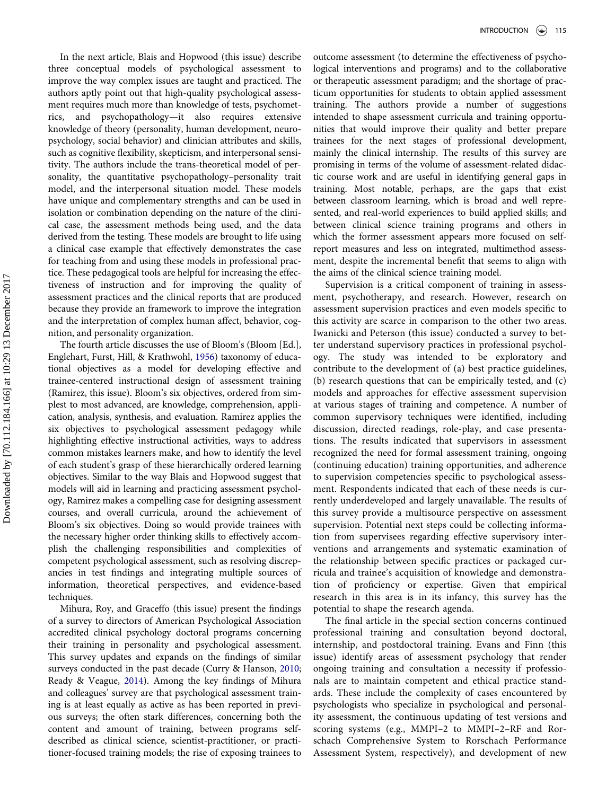In the next article, Blais and Hopwood (this issue) describe three conceptual models of psychological assessment to improve the way complex issues are taught and practiced. The authors aptly point out that high-quality psychological assessment requires much more than knowledge of tests, psychometrics, and psychopathology—it also requires extensive knowledge of theory (personality, human development, neuropsychology, social behavior) and clinician attributes and skills, such as cognitive flexibility, skepticism, and interpersonal sensitivity. The authors include the trans-theoretical model of personality, the quantitative psychopathology–personality trait model, and the interpersonal situation model. These models have unique and complementary strengths and can be used in isolation or combination depending on the nature of the clinical case, the assessment methods being used, and the data derived from the testing. These models are brought to life using a clinical case example that effectively demonstrates the case for teaching from and using these models in professional practice. These pedagogical tools are helpful for increasing the effectiveness of instruction and for improving the quality of assessment practices and the clinical reports that are produced because they provide an framework to improve the integration and the interpretation of complex human affect, behavior, cognition, and personality organization.

The fourth article discusses the use of Bloom's (Bloom [Ed.], Englehart, Furst, Hill, & Krathwohl, [1956\)](#page-4-11) taxonomy of educational objectives as a model for developing effective and trainee-centered instructional design of assessment training (Ramirez, this issue). Bloom's six objectives, ordered from simplest to most advanced, are knowledge, comprehension, application, analysis, synthesis, and evaluation. Ramirez applies the six objectives to psychological assessment pedagogy while highlighting effective instructional activities, ways to address common mistakes learners make, and how to identify the level of each student's grasp of these hierarchically ordered learning objectives. Similar to the way Blais and Hopwood suggest that models will aid in learning and practicing assessment psychology, Ramirez makes a compelling case for designing assessment courses, and overall curricula, around the achievement of Bloom's six objectives. Doing so would provide trainees with the necessary higher order thinking skills to effectively accomplish the challenging responsibilities and complexities of competent psychological assessment, such as resolving discrepancies in test findings and integrating multiple sources of information, theoretical perspectives, and evidence-based techniques.

Mihura, Roy, and Graceffo (this issue) present the findings of a survey to directors of American Psychological Association accredited clinical psychology doctoral programs concerning their training in personality and psychological assessment. This survey updates and expands on the findings of similar surveys conducted in the past decade (Curry & Hanson, [2010;](#page-4-12) Ready & Veague, [2014\)](#page-4-0). Among the key findings of Mihura and colleagues' survey are that psychological assessment training is at least equally as active as has been reported in previous surveys; the often stark differences, concerning both the content and amount of training, between programs selfdescribed as clinical science, scientist-practitioner, or practitioner-focused training models; the rise of exposing trainees to outcome assessment (to determine the effectiveness of psychological interventions and programs) and to the collaborative or therapeutic assessment paradigm; and the shortage of practicum opportunities for students to obtain applied assessment training. The authors provide a number of suggestions intended to shape assessment curricula and training opportunities that would improve their quality and better prepare trainees for the next stages of professional development, mainly the clinical internship. The results of this survey are promising in terms of the volume of assessment-related didactic course work and are useful in identifying general gaps in training. Most notable, perhaps, are the gaps that exist between classroom learning, which is broad and well represented, and real-world experiences to build applied skills; and between clinical science training programs and others in which the former assessment appears more focused on selfreport measures and less on integrated, multimethod assessment, despite the incremental benefit that seems to align with the aims of the clinical science training model.

Supervision is a critical component of training in assessment, psychotherapy, and research. However, research on assessment supervision practices and even models specific to this activity are scarce in comparison to the other two areas. Iwanicki and Peterson (this issue) conducted a survey to better understand supervisory practices in professional psychology. The study was intended to be exploratory and contribute to the development of (a) best practice guidelines, (b) research questions that can be empirically tested, and (c) models and approaches for effective assessment supervision at various stages of training and competence. A number of common supervisory techniques were identified, including discussion, directed readings, role-play, and case presentations. The results indicated that supervisors in assessment recognized the need for formal assessment training, ongoing (continuing education) training opportunities, and adherence to supervision competencies specific to psychological assessment. Respondents indicated that each of these needs is currently underdeveloped and largely unavailable. The results of this survey provide a multisource perspective on assessment supervision. Potential next steps could be collecting information from supervisees regarding effective supervisory interventions and arrangements and systematic examination of the relationship between specific practices or packaged curricula and trainee's acquisition of knowledge and demonstration of proficiency or expertise. Given that empirical research in this area is in its infancy, this survey has the potential to shape the research agenda.

The final article in the special section concerns continued professional training and consultation beyond doctoral, internship, and postdoctoral training. Evans and Finn (this issue) identify areas of assessment psychology that render ongoing training and consultation a necessity if professionals are to maintain competent and ethical practice standards. These include the complexity of cases encountered by psychologists who specialize in psychological and personality assessment, the continuous updating of test versions and scoring systems (e.g., MMPI–2 to MMPI–2–RF and Rorschach Comprehensive System to Rorschach Performance Assessment System, respectively), and development of new